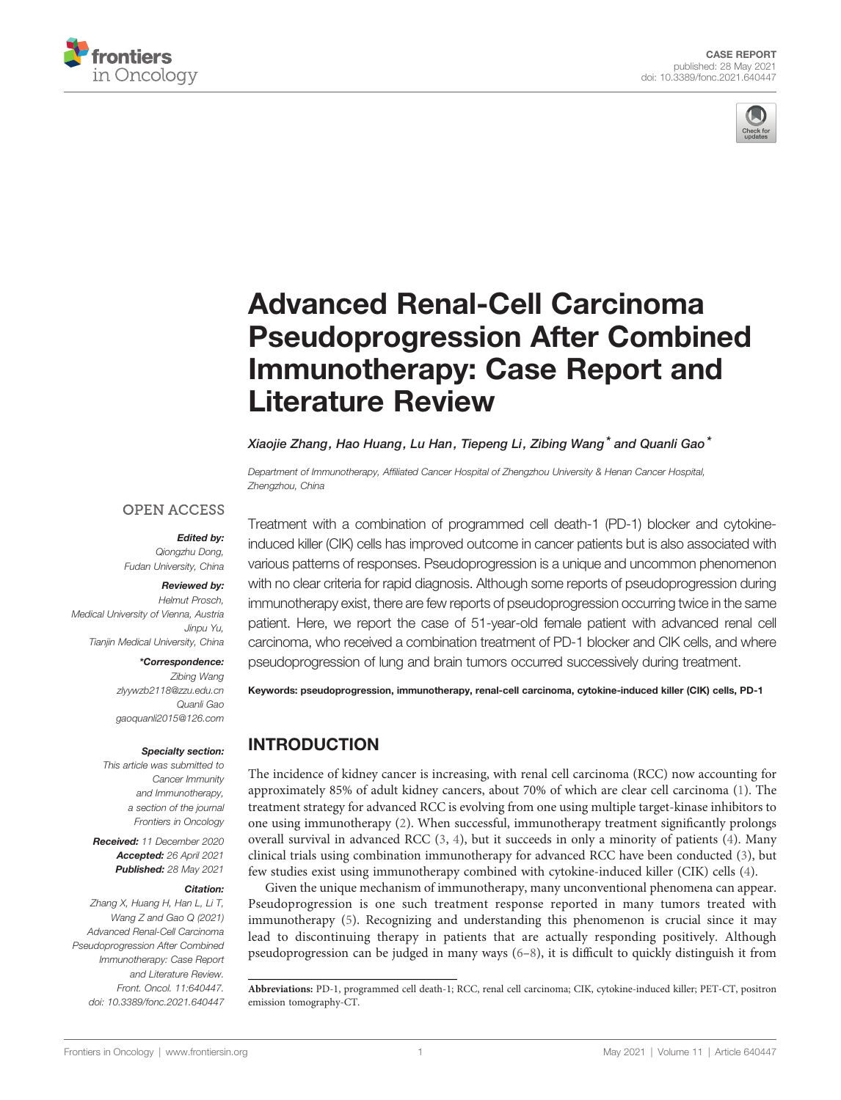



# [Advanced Renal-Cell Carcinoma](https://www.frontiersin.org/articles/10.3389/fonc.2021.640447/full) [Pseudoprogression After Combined](https://www.frontiersin.org/articles/10.3389/fonc.2021.640447/full) [Immunotherapy: Case Report and](https://www.frontiersin.org/articles/10.3389/fonc.2021.640447/full) [Literature Review](https://www.frontiersin.org/articles/10.3389/fonc.2021.640447/full)

Xiaojie Zhang, Hao Huang, Lu Han, Tiepeng Li, Zibing Wang\* and Quanli Gao\*

Department of Immunotherapy, Affiliated Cancer Hospital of Zhengzhou University & Henan Cancer Hospital, Zhengzhou, China

### **OPEN ACCESS**

Edited by: Qiongzhu Dong, Fudan University, China

#### Reviewed by:

Helmut Prosch, Medical University of Vienna, Austria Jinpu Yu, Tianjin Medical University, China

#### \*Correspondence:

Zibing Wang [zlyywzb2118@zzu.edu.cn](mailto:zlyywzb2118@zzu.edu.cn) Quanli Gao [gaoquanli2015@126.com](mailto:gaoquanli2015@126.com)

#### Specialty section:

This article was submitted to Cancer Immunity and Immunotherapy, a section of the journal Frontiers in Oncology

Received: 11 December 2020 Accepted: 26 April 2021 Published: 28 May 2021

#### Citation:

Zhang X, Huang H, Han L, Li T, Wang Z and Gao Q (2021) Advanced Renal-Cell Carcinoma Pseudoprogression After Combined Immunotherapy: Case Report and Literature Review. Front. Oncol. 11:640447. [doi: 10.3389/fonc.2021.640447](https://doi.org/10.3389/fonc.2021.640447)

Treatment with a combination of programmed cell death-1 (PD-1) blocker and cytokineinduced killer (CIK) cells has improved outcome in cancer patients but is also associated with various patterns of responses. Pseudoprogression is a unique and uncommon phenomenon with no clear criteria for rapid diagnosis. Although some reports of pseudoprogression during immunotherapy exist, there are few reports of pseudoprogression occurring twice in the same patient. Here, we report the case of 51-year-old female patient with advanced renal cell carcinoma, who received a combination treatment of PD-1 blocker and CIK cells, and where pseudoprogression of lung and brain tumors occurred successively during treatment.

Keywords: pseudoprogression, immunotherapy, renal-cell carcinoma, cytokine-induced killer (CIK) cells, PD-1

# INTRODUCTION

The incidence of kidney cancer is increasing, with renal cell carcinoma (RCC) now accounting for approximately 85% of adult kidney cancers, about 70% of which are clear cell carcinoma [\(1\)](#page-3-0). The treatment strategy for advanced RCC is evolving from one using multiple target-kinase inhibitors to one using immunotherapy [\(2\)](#page-3-0). When successful, immunotherapy treatment significantly prolongs overall survival in advanced RCC [\(3,](#page-3-0) [4](#page-3-0)), but it succeeds in only a minority of patients ([4](#page-3-0)). Many clinical trials using combination immunotherapy for advanced RCC have been conducted ([3](#page-3-0)), but few studies exist using immunotherapy combined with cytokine-induced killer (CIK) cells ([4](#page-3-0)).

Given the unique mechanism of immunotherapy, many unconventional phenomena can appear. Pseudoprogression is one such treatment response reported in many tumors treated with immunotherapy ([5](#page-3-0)). Recognizing and understanding this phenomenon is crucial since it may lead to discontinuing therapy in patients that are actually responding positively. Although pseudoprogression can be judged in many ways ([6](#page-3-0)–[8\)](#page-4-0), it is difficult to quickly distinguish it from

Abbreviations: PD-1, programmed cell death-1; RCC, renal cell carcinoma; CIK, cytokine-induced killer; PET-CT, positron emission tomography-CT.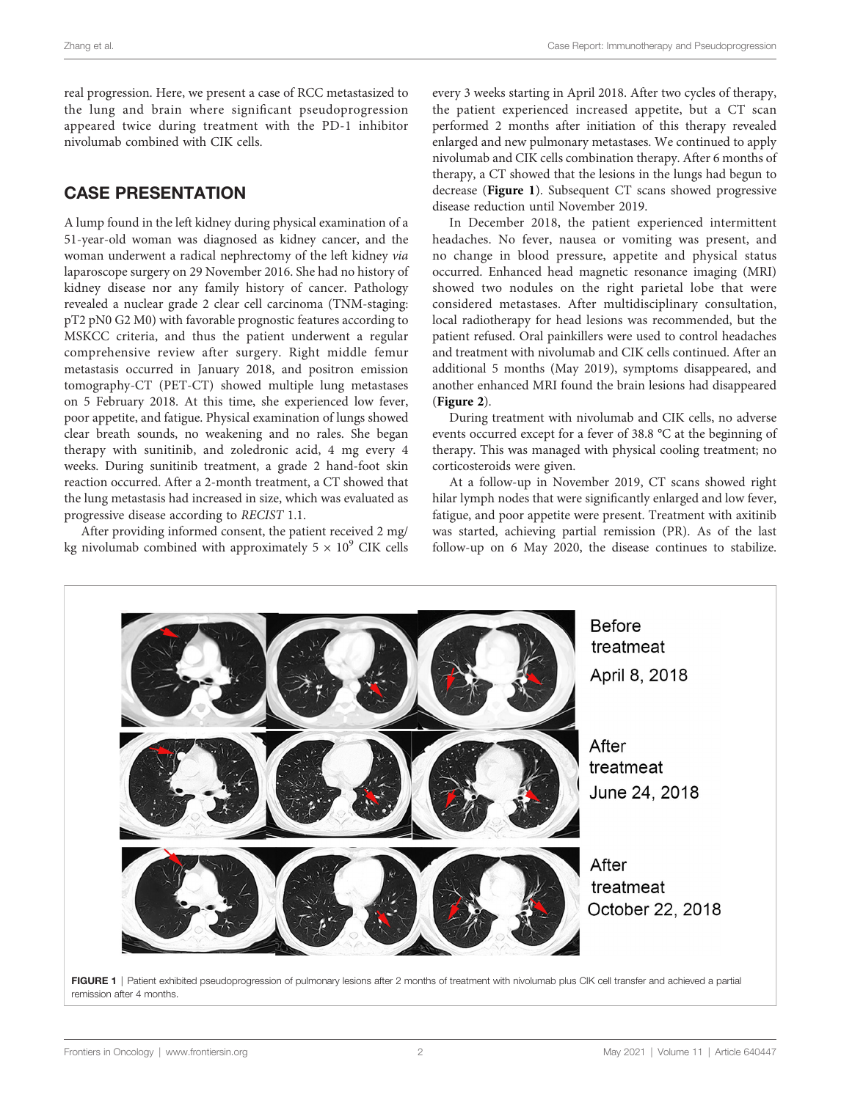real progression. Here, we present a case of RCC metastasized to the lung and brain where significant pseudoprogression appeared twice during treatment with the PD-1 inhibitor nivolumab combined with CIK cells.

# CASE PRESENTATION

A lump found in the left kidney during physical examination of a 51-year-old woman was diagnosed as kidney cancer, and the woman underwent a radical nephrectomy of the left kidney via laparoscope surgery on 29 November 2016. She had no history of kidney disease nor any family history of cancer. Pathology revealed a nuclear grade 2 clear cell carcinoma (TNM-staging: pT2 pN0 G2 M0) with favorable prognostic features according to MSKCC criteria, and thus the patient underwent a regular comprehensive review after surgery. Right middle femur metastasis occurred in January 2018, and positron emission tomography-CT (PET-CT) showed multiple lung metastases on 5 February 2018. At this time, she experienced low fever, poor appetite, and fatigue. Physical examination of lungs showed clear breath sounds, no weakening and no rales. She began therapy with sunitinib, and zoledronic acid, 4 mg every 4 weeks. During sunitinib treatment, a grade 2 hand-foot skin reaction occurred. After a 2-month treatment, a CT showed that the lung metastasis had increased in size, which was evaluated as progressive disease according to RECIST 1.1.

After providing informed consent, the patient received 2 mg/ kg nivolumab combined with approximately  $5 \times 10^9$  CIK cells every 3 weeks starting in April 2018. After two cycles of therapy, the patient experienced increased appetite, but a CT scan performed 2 months after initiation of this therapy revealed enlarged and new pulmonary metastases. We continued to apply nivolumab and CIK cells combination therapy. After 6 months of therapy, a CT showed that the lesions in the lungs had begun to decrease (Figure 1). Subsequent CT scans showed progressive disease reduction until November 2019.

In December 2018, the patient experienced intermittent headaches. No fever, nausea or vomiting was present, and no change in blood pressure, appetite and physical status occurred. Enhanced head magnetic resonance imaging (MRI) showed two nodules on the right parietal lobe that were considered metastases. After multidisciplinary consultation, local radiotherapy for head lesions was recommended, but the patient refused. Oral painkillers were used to control headaches and treatment with nivolumab and CIK cells continued. After an additional 5 months (May 2019), symptoms disappeared, and another enhanced MRI found the brain lesions had disappeared ([Figure 2](#page-2-0)).

During treatment with nivolumab and CIK cells, no adverse events occurred except for a fever of 38.8 °C at the beginning of therapy. This was managed with physical cooling treatment; no corticosteroids were given.

At a follow-up in November 2019, CT scans showed right hilar lymph nodes that were significantly enlarged and low fever, fatigue, and poor appetite were present. Treatment with axitinib was started, achieving partial remission (PR). As of the last follow-up on 6 May 2020, the disease continues to stabilize.



FIGURE 1 | Patient exhibited pseudoprogression of pulmonary lesions after 2 months of treatment with nivolumab plus CIK cell transfer and achieved a partial remission after 4 months.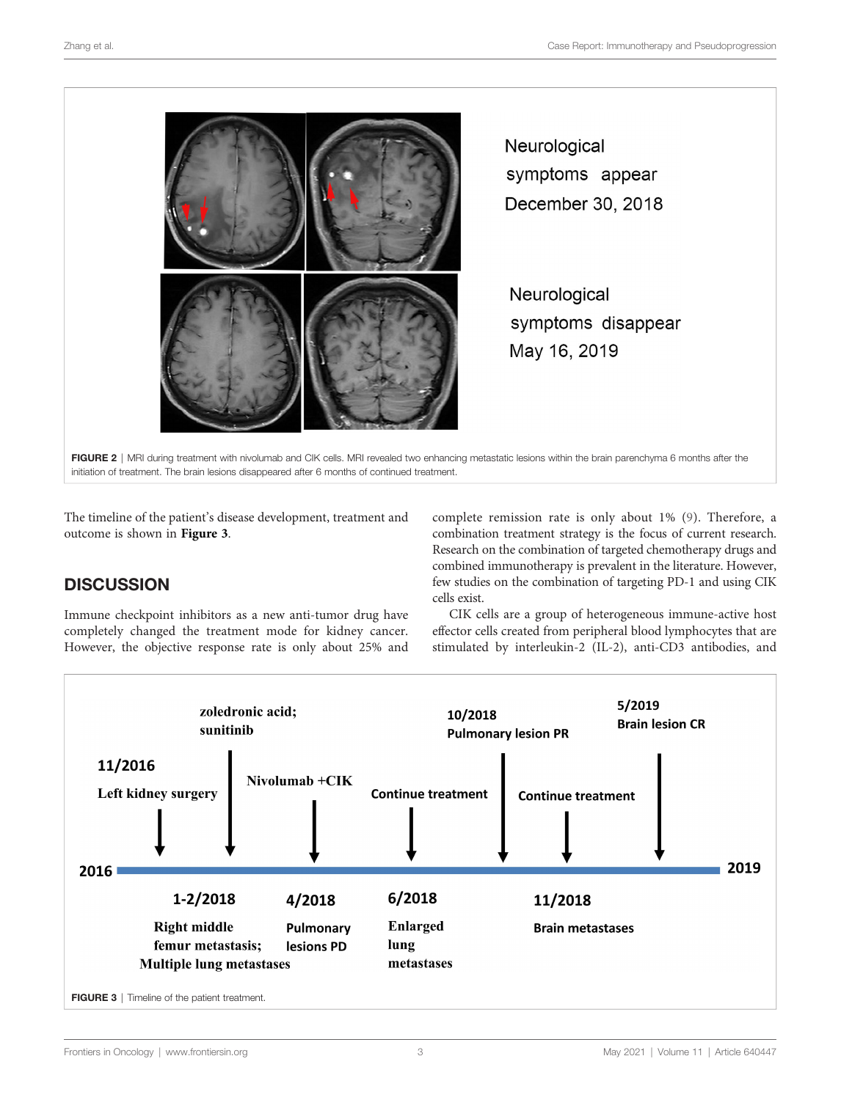<span id="page-2-0"></span>

Neurological symptoms appear December 30, 2018

Neurological symptoms disappear May 16, 2019

FIGURE 2 | MRI during treatment with nivolumab and CIK cells. MRI revealed two enhancing metastatic lesions within the brain parenchyma 6 months after the initiation of treatment. The brain lesions disappeared after 6 months of continued treatment.

The timeline of the patient's disease development, treatment and outcome is shown in Figure 3.

# **DISCUSSION**

Immune checkpoint inhibitors as a new anti-tumor drug have completely changed the treatment mode for kidney cancer. However, the objective response rate is only about 25% and complete remission rate is only about 1% [\(9\)](#page-4-0). Therefore, a combination treatment strategy is the focus of current research. Research on the combination of targeted chemotherapy drugs and combined immunotherapy is prevalent in the literature. However, few studies on the combination of targeting PD-1 and using CIK cells exist.

CIK cells are a group of heterogeneous immune-active host effector cells created from peripheral blood lymphocytes that are stimulated by interleukin-2 (IL-2), anti-CD3 antibodies, and

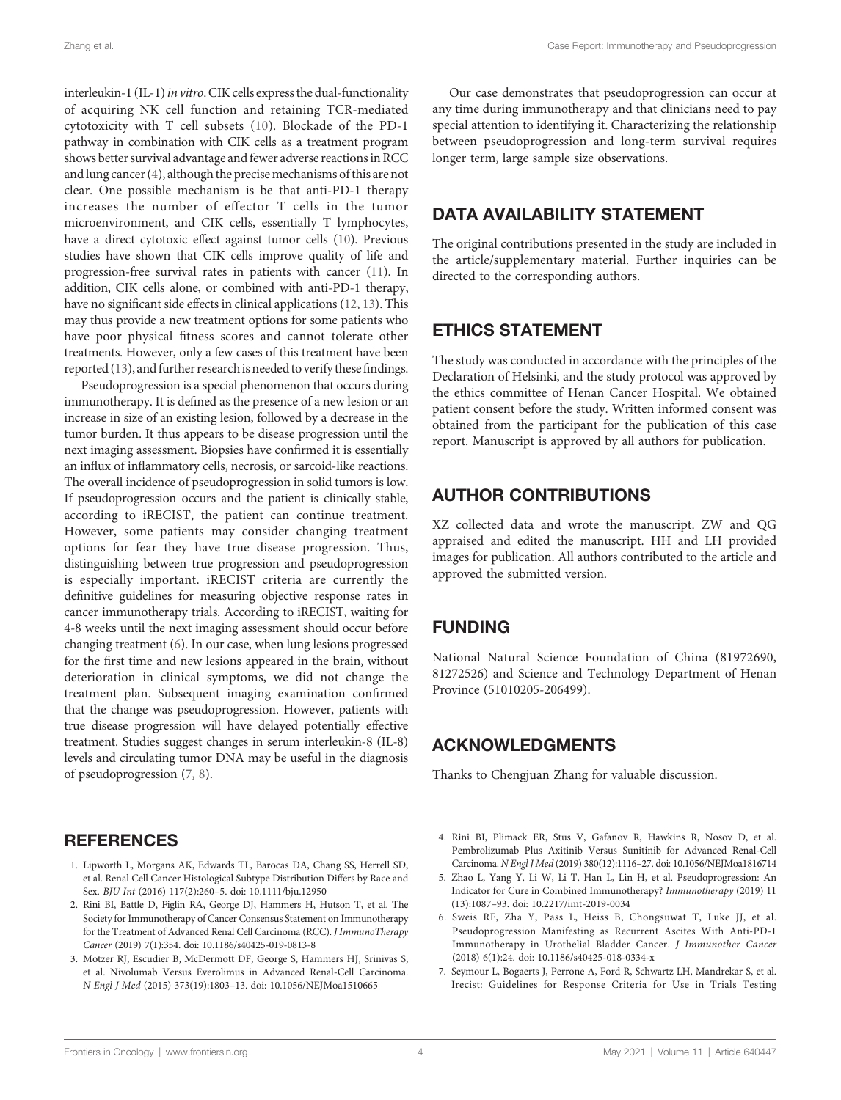<span id="page-3-0"></span>interleukin-1 (IL-1) in vitro. CIK cells express the dual-functionality of acquiring NK cell function and retaining TCR-mediated cytotoxicity with T cell subsets ([10\)](#page-4-0). Blockade of the PD-1 pathway in combination with CIK cells as a treatment program shows better survival advantage and fewer adverse reactions in RCC and lung cancer (4), although the precise mechanisms of this are not clear. One possible mechanism is be that anti-PD-1 therapy increases the number of effector T cells in the tumor microenvironment, and CIK cells, essentially T lymphocytes, have a direct cytotoxic effect against tumor cells [\(10](#page-4-0)). Previous studies have shown that CIK cells improve quality of life and progression-free survival rates in patients with cancer ([11\)](#page-4-0). In addition, CIK cells alone, or combined with anti-PD-1 therapy, have no significant side effects in clinical applications ([12,](#page-4-0) [13\)](#page-4-0). This may thus provide a new treatment options for some patients who have poor physical fitness scores and cannot tolerate other treatments. However, only a few cases of this treatment have been reported [\(13](#page-4-0)), and further research is needed to verify these findings.

Pseudoprogression is a special phenomenon that occurs during immunotherapy. It is defined as the presence of a new lesion or an increase in size of an existing lesion, followed by a decrease in the tumor burden. It thus appears to be disease progression until the next imaging assessment. Biopsies have confirmed it is essentially an influx of inflammatory cells, necrosis, or sarcoid-like reactions. The overall incidence of pseudoprogression in solid tumors is low. If pseudoprogression occurs and the patient is clinically stable, according to iRECIST, the patient can continue treatment. However, some patients may consider changing treatment options for fear they have true disease progression. Thus, distinguishing between true progression and pseudoprogression is especially important. iRECIST criteria are currently the definitive guidelines for measuring objective response rates in cancer immunotherapy trials. According to iRECIST, waiting for 4-8 weeks until the next imaging assessment should occur before changing treatment (6). In our case, when lung lesions progressed for the first time and new lesions appeared in the brain, without deterioration in clinical symptoms, we did not change the treatment plan. Subsequent imaging examination confirmed that the change was pseudoprogression. However, patients with true disease progression will have delayed potentially effective treatment. Studies suggest changes in serum interleukin-8 (IL-8) levels and circulating tumor DNA may be useful in the diagnosis of pseudoprogression (7, [8](#page-4-0)).

## **REFERENCES**

- 1. Lipworth L, Morgans AK, Edwards TL, Barocas DA, Chang SS, Herrell SD, et al. Renal Cell Cancer Histological Subtype Distribution Differs by Race and Sex. BJU Int (2016) 117(2):260–5. doi: [10.1111/bju.12950](https://doi.org/10.1111/bju.12950)
- 2. Rini BI, Battle D, Figlin RA, George DJ, Hammers H, Hutson T, et al. The Society for Immunotherapy of Cancer Consensus Statement on Immunotherapy for the Treatment of Advanced Renal Cell Carcinoma (RCC). J ImmunoTherapy Cancer (2019) 7(1):354. doi: [10.1186/s40425-019-0813-8](https://doi.org/10.1186/s40425-019-0813-8)
- 3. Motzer RJ, Escudier B, McDermott DF, George S, Hammers HJ, Srinivas S, et al. Nivolumab Versus Everolimus in Advanced Renal-Cell Carcinoma. N Engl J Med (2015) 373(19):1803–13. doi: [10.1056/NEJMoa1510665](https://doi.org/10.1056/NEJMoa1510665)

Our case demonstrates that pseudoprogression can occur at any time during immunotherapy and that clinicians need to pay special attention to identifying it. Characterizing the relationship between pseudoprogression and long-term survival requires longer term, large sample size observations.

### DATA AVAILABILITY STATEMENT

The original contributions presented in the study are included in the article/supplementary material. Further inquiries can be directed to the corresponding authors.

## ETHICS STATEMENT

The study was conducted in accordance with the principles of the Declaration of Helsinki, and the study protocol was approved by the ethics committee of Henan Cancer Hospital. We obtained patient consent before the study. Written informed consent was obtained from the participant for the publication of this case report. Manuscript is approved by all authors for publication.

# AUTHOR CONTRIBUTIONS

XZ collected data and wrote the manuscript. ZW and QG appraised and edited the manuscript. HH and LH provided images for publication. All authors contributed to the article and approved the submitted version.

## FUNDING

National Natural Science Foundation of China (81972690, 81272526) and Science and Technology Department of Henan Province (51010205-206499).

## ACKNOWLEDGMENTS

Thanks to Chengjuan Zhang for valuable discussion.

- 4. Rini BI, Plimack ER, Stus V, Gafanov R, Hawkins R, Nosov D, et al. Pembrolizumab Plus Axitinib Versus Sunitinib for Advanced Renal-Cell Carcinoma. N Engl J Med (2019) 380(12):1116–27. doi: [10.1056/NEJMoa1816714](https://doi.org/10.1056/NEJMoa1816714)
- 5. Zhao L, Yang Y, Li W, Li T, Han L, Lin H, et al. Pseudoprogression: An Indicator for Cure in Combined Immunotherapy? Immunotherapy (2019) 11 (13):1087–93. doi: [10.2217/imt-2019-0034](https://doi.org/10.2217/imt-2019-0034)
- 6. Sweis RF, Zha Y, Pass L, Heiss B, Chongsuwat T, Luke JJ, et al. Pseudoprogression Manifesting as Recurrent Ascites With Anti-PD-1 Immunotherapy in Urothelial Bladder Cancer. J Immunother Cancer (2018) 6(1):24. doi: [10.1186/s40425-018-0334-x](https://doi.org/10.1186/s40425-018-0334-x)
- 7. Seymour L, Bogaerts J, Perrone A, Ford R, Schwartz LH, Mandrekar S, et al. Irecist: Guidelines for Response Criteria for Use in Trials Testing